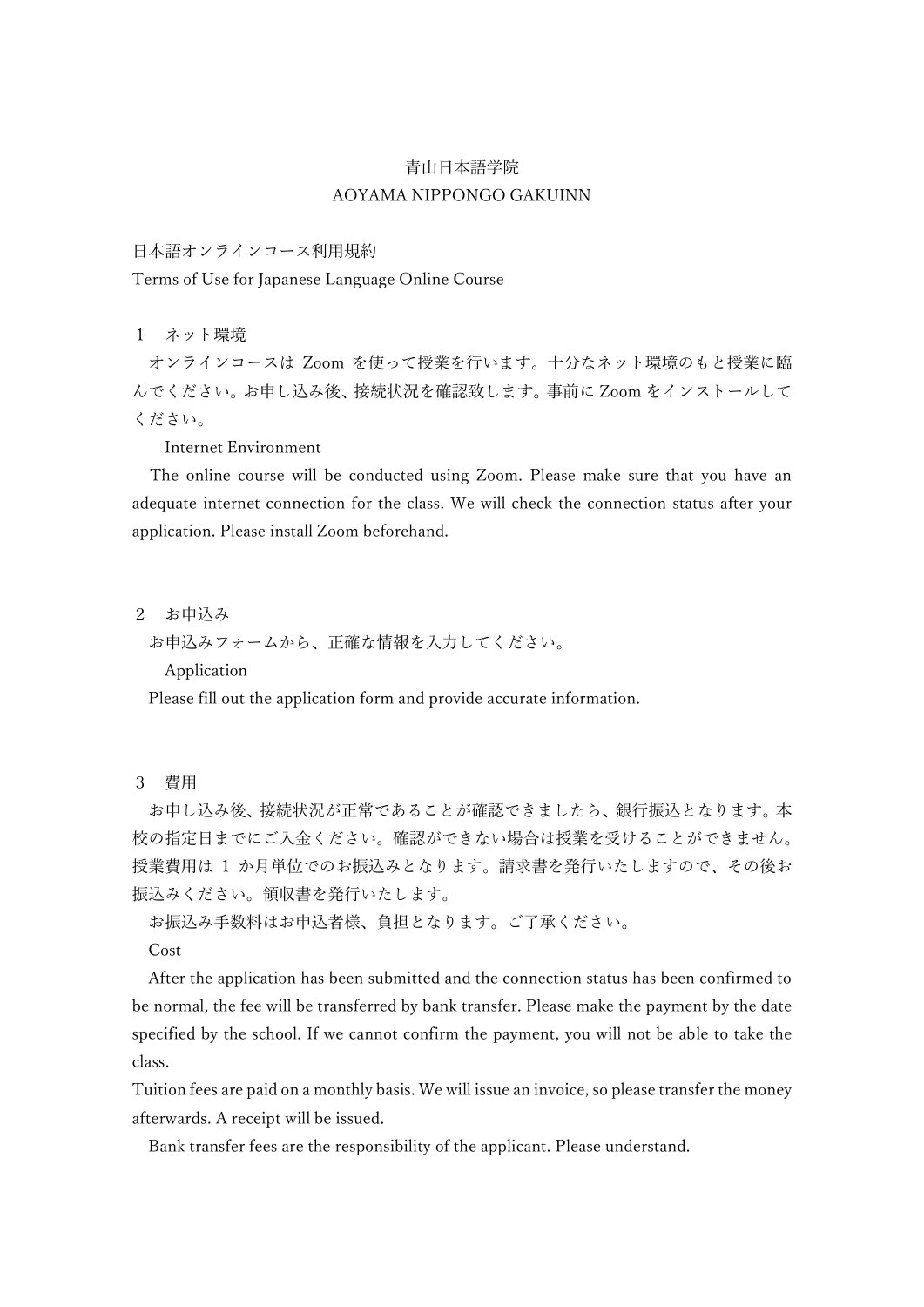## 青山日本語学院 AOYAMA NIPPONGO GAKUINN

## 日本語オンラインコース利用規約

Terms of Use for Japanese Language Online Course

1 ネット環境

オンラインコースは Zoom を使って授業を行います。十分なネット環境のもと授業に臨 んでください。お申し込み後、接続状況を確認致します。事前に Zoom をインストールして ください。

Internet Environment

The online course will be conducted using Zoom. Please make sure that you have an adequate internet connection for the class. We will check the connection status after your application. Please install Zoom beforehand.

- 2 お申込み
	- お申込みフォームから、正確な情報を入力してください。

Application

Please fill out the application form and provide accurate information.

3 費用

お申し込み後、接続状況が正常であることが確認できましたら、銀行振込となります。本 校の指定日までにご入金ください。確認ができない場合は授業を受けることができません。 授業費用は 1 か月単位でのお振込みとなります。請求書を発行いたしますので、その後お 振込みください。領収書を発行いたします。

お振込み手数料はお申込者様、負担となります。ご了承ください。

Cost

After the application has been submitted and the connection status has been confirmed to be normal, the fee will be transferred by bank transfer. Please make the payment by the date specified by the school. If we cannot confirm the payment, you will not be able to take the class.

Tuition fees are paid on a monthly basis. We will issue an invoice, so please transfer the money afterwards. A receipt will be issued.

Bank transfer fees are the responsibility of the applicant. Please understand.